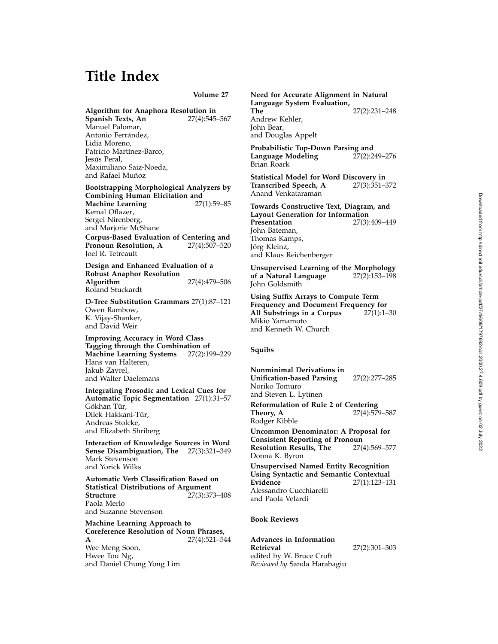# **Title Index**

**Volume 27**

**Algorithm for Anaphora Resolution in Spanish Texts, An** Manuel Palomar, Antonio Ferrández, Lidia Moreno, Patricio Martínez-Barco, Jesús Peral. Maximiliano Saiz-Noeda, and Rafael Muñoz

**Bootstrapping Morphological Analyzers by Combining Human Elicitation and<br>Machine Learning 27(1):59-85 Machine Learning** Kemal Oflazer, Sergei Nirenberg, and Marjorie McShane

**Corpus-Based Evaluation of Centering and<br>Pronoun Resolution, A** 27(4):507-520 Pronoun Resolution, A Joel R. Tetreault

**Design and Enhanced Evaluation of a Robust Anaphor Resolution Algorithm** 27(4):479–506 Roland Stuckardt

**D-Tree Substitution Grammars** 27(1):87–121 Owen Rambow, K. Vijay-Shanker, and David Weir

**Improving Accuracy in Word Class Tagging through the Combination of Machine Learning Systems** Hans van Halteren, Jakub Zavrel, and Walter Daelemans

**Integrating Prosodic and Lexical Cues for Automatic Topic Segmentation** 27(1):31–57 Gökhan Tür, Dilek Hakkani-Tür, Andreas Stolcke, and Elizabeth Shriberg

**Interaction of Knowledge Sources in Word Sense Disambiguation, The** 27(3):321–349 Mark Stevenson and Yorick Wilks

**Automatic Verb Classification Based on Statistical Distributions of Argument**<br>**Structure** 27(3):37 **Structure** 27(3):373–408 Paola Merlo and Suzanne Stevenson

**Machine Learning Approach to Coreference Resolution of Noun Phrases, A** 27(4):521–544 Wee Meng Soon, Hwee Tou Ng, and Daniel Chung Yong Lim

**Need for Accurate Alignment in Natural Language System Evaluation, The** 27(2):231–248 Andrew Kehler, John Bear, and Douglas Appelt

**Probabilistic Top-Down Parsing and Language Modeling** Brian Roark

**Statistical Model for Word Discovery in Transcribed Speech, A** Anand Venkataraman

**Towards Constructive Text, Diagram, and Layout Generation for Information Presentation** 27(3):409–449 John Bateman, Thomas Kamps, Jörg Kleinz, and Klaus Reichenberger

**Unsupervised Learning of the Morphology** of a Natural Language John Goldsmith

**Using Suffix Arrays to Compute Term Frequency and Document Frequency for All Substrings in a Corpus** Mikio Yamamoto and Kenneth W. Church

### **Squibs**

**Nonminimal Derivations in Unification-based Parsing** 27(2):277–285 Noriko Tomuro and Steven L. Lytinen **Reformulation of Rule 2 of Centering Theory, A** 27(4):579–587 Rodger Kibble **Uncommon Denominator: A Proposal for Consistent Reporting of Pronoun Resolution Results, The** Donna K. Byron **Unsupervised Named Entity Recognition Using Syntactic and Semantic Contextual Evidence** 27(1):123–131 Alessandro Cucchiarelli and Paola Velardi

### **Book Reviews**

**Advances in Information Retrieval** 27(2):301–303 edited by W. Bruce Croft *Reviewed by* Sanda Harabagiu